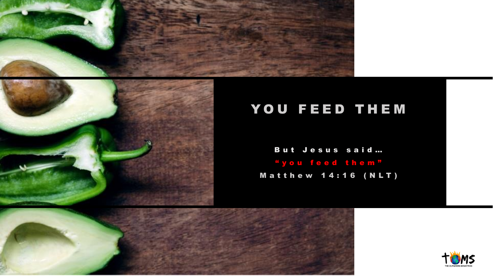



# YOU FEED THEM

But Jesus said ... " y o u f e e d t h e m " M a t t h e w 1 4 : 1 6 ( N L T )



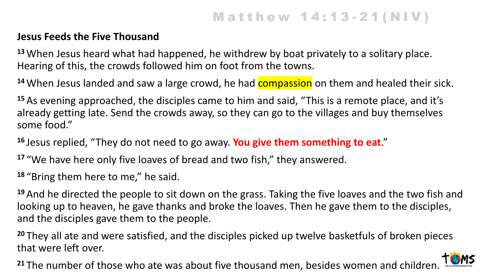# **Matthew 14:13-21(NIV)**

#### **Jesus Feeds the Five Thousand**

**<sup>13</sup>** When Jesus heard what had happened, he withdrew by boat privately to a solitary place. Hearing of this, the crowds followed him on foot from the towns.

<sup>14</sup> When Jesus landed and saw a large crowd, he had **compassion** on them and healed their sick.

**<sup>15</sup>** As evening approached, the disciples came to him and said, "This is a remote place, and it's already getting late. Send the crowds away, so they can go to the villages and buy themselves some food."

**<sup>16</sup>** Jesus replied, "They do not need to go away. **You give them something to eat**."

**<sup>17</sup>** "We have here only five loaves of bread and two fish," they answered.

**<sup>18</sup>** "Bring them here to me," he said.

**<sup>19</sup>** And he directed the people to sit down on the grass. Taking the five loaves and the two fish and looking up to heaven, he gave thanks and broke the loaves. Then he gave them to the disciples, and the disciples gave them to the people.

**<sup>20</sup>** They all ate and were satisfied, and the disciples picked up twelve basketfuls of broken pieces that were left over.

<sup>21</sup> The number of those who ate was about five thousand men, besides women and children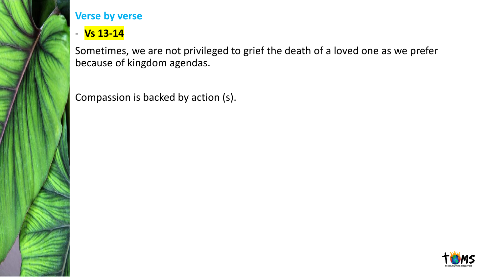

- **Vs 13-14**

Sometimes, we are not privileged to grief the death of a loved one as we prefer because of kingdom agendas.

Compassion is backed by action (s).

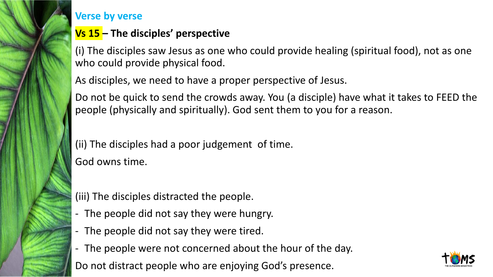

#### **Vs 15 – The disciples' perspective**

(i) The disciples saw Jesus as one who could provide healing (spiritual food), not as one who could provide physical food.

As disciples, we need to have a proper perspective of Jesus.

Do not be quick to send the crowds away. You (a disciple) have what it takes to FEED the people (physically and spiritually). God sent them to you for a reason.

(ii) The disciples had a poor judgement of time. God owns time.

(iii) The disciples distracted the people.

- The people did not say they were hungry.
- The people did not say they were tired.
- The people were not concerned about the hour of the day.

Do not distract people who are enjoying God's presence.

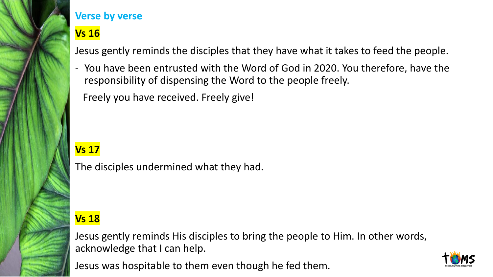

# **Vs 16**

Jesus gently reminds the disciples that they have what it takes to feed the people.

- You have been entrusted with the Word of God in 2020. You therefore, have the responsibility of dispensing the Word to the people freely.

Freely you have received. Freely give!

## **Vs 17**

The disciples undermined what they had.

## **Vs 18**

Jesus gently reminds His disciples to bring the people to Him. In other words, acknowledge that I can help.

Jesus was hospitable to them even though he fed them.

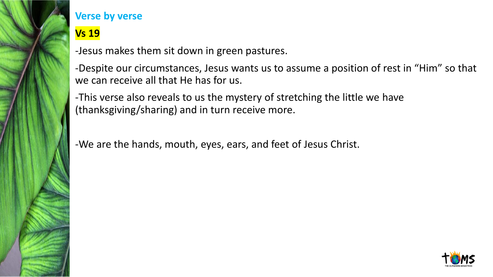

### **Vs 19**

-Jesus makes them sit down in green pastures.

-Despite our circumstances, Jesus wants us to assume a position of rest in "Him" so that we can receive all that He has for us.

-This verse also reveals to us the mystery of stretching the little we have (thanksgiving/sharing) and in turn receive more.

-We are the hands, mouth, eyes, ears, and feet of Jesus Christ.

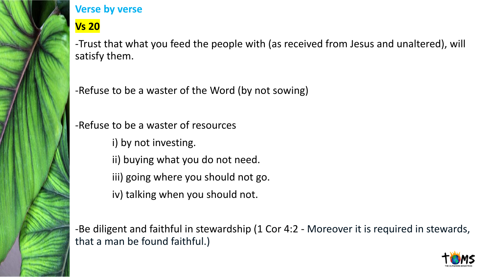

**Vs 20**

-Trust that what you feed the people with (as received from Jesus and unaltered), will satisfy them.

-Refuse to be a waster of the Word (by not sowing)

-Refuse to be a waster of resources

- i) by not investing.
- ii) buying what you do not need.
- iii) going where you should not go.
- iv) talking when you should not.

-Be diligent and faithful in stewardship (1 Cor 4:2 - Moreover it is required in stewards, that a man be found faithful.)

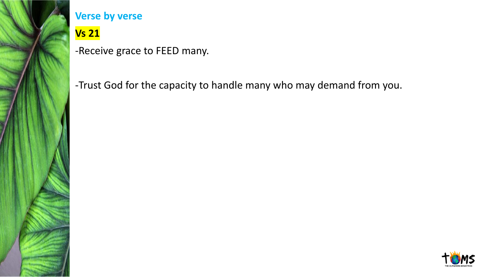

# **Vs 21**

-Receive grace to FEED many.

-Trust God for the capacity to handle many who may demand from you.